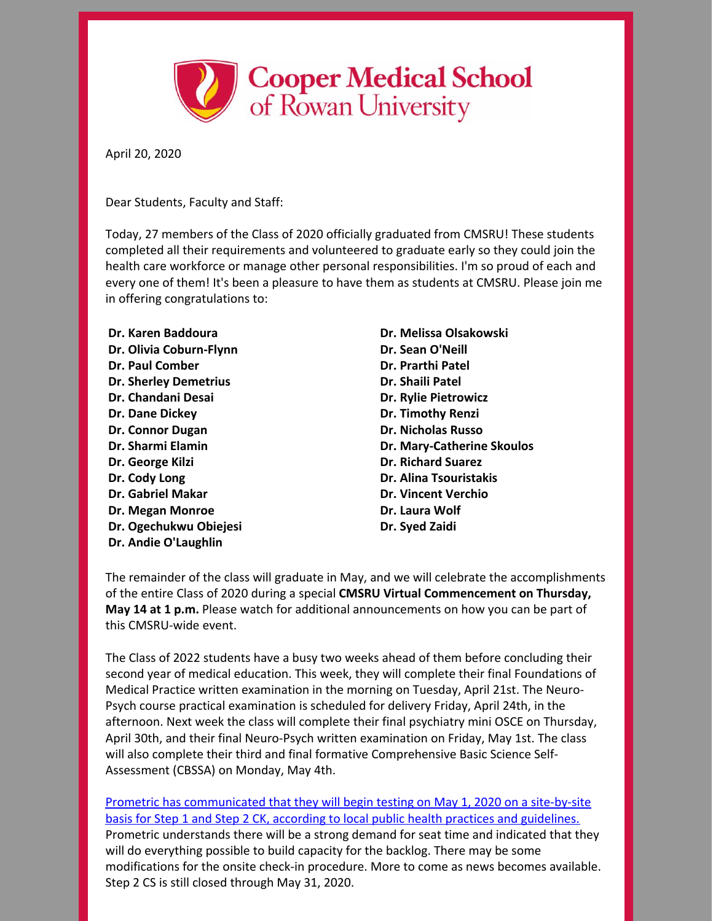

April 20, 2020

Dear Students, Faculty and Staff:

Today, 27 members of the Class of 2020 officially graduated from CMSRU! These students completed all their requirements and volunteered to graduate early so they could join the health care workforce or manage other personal responsibilities. I'm so proud of each and every one of them! It's been a pleasure to have them as students at CMSRU. Please join me in offering congratulations to:

**Dr. Karen Baddoura Dr. Olivia Coburn-Flynn Dr. Paul Comber Dr. Sherley Demetrius Dr. Chandani Desai Dr. Dane Dickey Dr. Connor Dugan Dr. Sharmi Elamin Dr. George Kilzi Dr. Cody Long Dr. Gabriel Makar Dr. Megan Monroe Dr. Ogechukwu Obiejesi Dr. Andie O'Laughlin**

**Dr. Melissa Olsakowski Dr. Sean O'Neill Dr. Prarthi Patel Dr. Shaili Patel Dr. Rylie Pietrowicz Dr. Timothy Renzi Dr. Nicholas Russo Dr. Mary-Catherine Skoulos Dr. Richard Suarez Dr. Alina Tsouristakis Dr. Vincent Verchio Dr. Laura Wolf Dr. Syed Zaidi**

The remainder of the class will graduate in May, and we will celebrate the accomplishments of the entire Class of 2020 during a special **CMSRU Virtual Commencement on Thursday, May 14 at 1 p.m.** Please watch for additional announcements on how you can be part of this CMSRU-wide event.

The Class of 2022 students have a busy two weeks ahead of them before concluding their second year of medical education. This week, they will complete their final Foundations of Medical Practice written examination in the morning on Tuesday, April 21st. The Neuro-Psych course practical examination is scheduled for delivery Friday, April 24th, in the afternoon. Next week the class will complete their final psychiatry mini OSCE on Thursday, April 30th, and their final Neuro-Psych written examination on Friday, May 1st. The class will also complete their third and final formative Comprehensive Basic Science Self-Assessment (CBSSA) on Monday, May 4th.

Prometric has [communicated](https://www.usmle.org/announcements/?ContentId=270) that they will begin testing on May 1, 2020 on a site-by-site basis for Step 1 and Step 2 CK, according to local public health practices and guidelines. Prometric understands there will be a strong demand for seat time and indicated that they will do everything possible to build capacity for the backlog. There may be some modifications for the onsite check-in procedure. More to come as news becomes available. Step 2 CS is still closed through May 31, 2020.